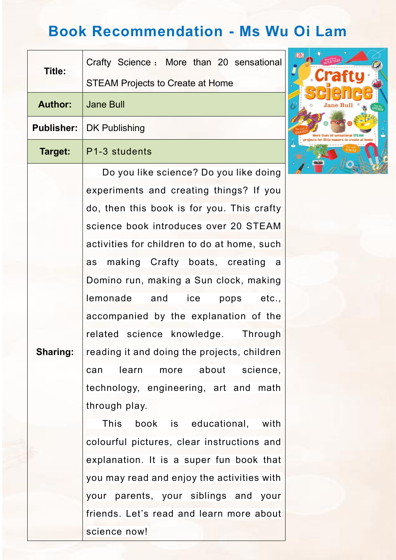## **Book Recommendation - Ms Wu Oi Lam**

| <b>Title:</b>     | Crafty Science: More than 20 sensational    |  |
|-------------------|---------------------------------------------|--|
|                   | <b>STEAM Projects to Create at Home</b>     |  |
| <b>Author:</b>    | <b>Jane Bull</b>                            |  |
| <b>Publisher:</b> | <b>DK Publishing</b>                        |  |
| Target:           | P1-3 students                               |  |
|                   | Do you like science? Do you like doing      |  |
|                   | experiments and creating things? If you     |  |
|                   | do, then this book is for you. This crafty  |  |
|                   | science book introduces over 20 STEAM       |  |
|                   | activities for children to do at home, such |  |
|                   | as making Crafty boats, creating a          |  |
|                   | Domino run, making a Sun clock, making      |  |
|                   | lemonade and ice pops etc.,                 |  |
|                   | accompanied by the explanation of the       |  |
|                   | related science knowledge. Through          |  |
| <b>Sharing:</b>   | reading it and doing the projects, children |  |
|                   | learn more about science,<br>can            |  |
|                   | technology, engineering, art and math       |  |
|                   | through play.                               |  |
|                   | This<br>book is educational, with           |  |
|                   | colourful pictures, clear instructions and  |  |
|                   | explanation. It is a super fun book that    |  |
|                   | you may read and enjoy the activities with  |  |
|                   | your parents, your siblings and your        |  |
|                   | friends. Let's read and learn more about    |  |
|                   | science now!                                |  |